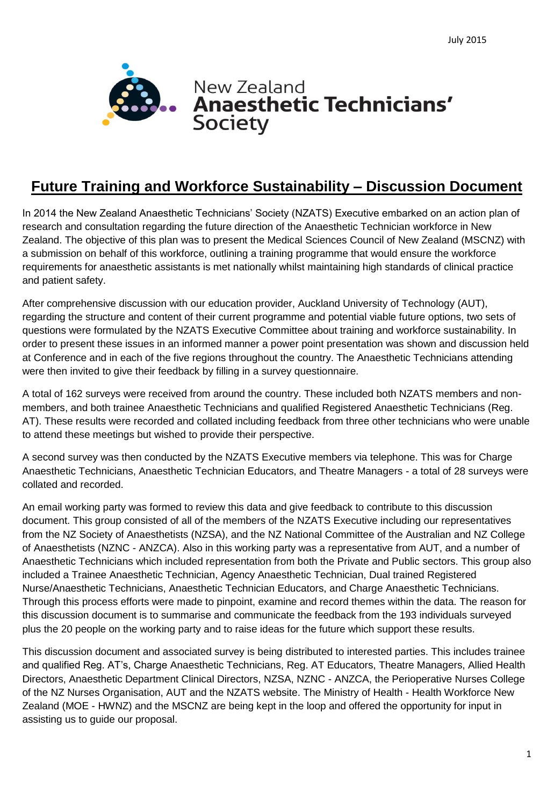

# **Future Training and Workforce Sustainability – Discussion Document**

In 2014 the New Zealand Anaesthetic Technicians' Society (NZATS) Executive embarked on an action plan of research and consultation regarding the future direction of the Anaesthetic Technician workforce in New Zealand. The objective of this plan was to present the Medical Sciences Council of New Zealand (MSCNZ) with a submission on behalf of this workforce, outlining a training programme that would ensure the workforce requirements for anaesthetic assistants is met nationally whilst maintaining high standards of clinical practice and patient safety.

After comprehensive discussion with our education provider, Auckland University of Technology (AUT), regarding the structure and content of their current programme and potential viable future options, two sets of questions were formulated by the NZATS Executive Committee about training and workforce sustainability. In order to present these issues in an informed manner a power point presentation was shown and discussion held at Conference and in each of the five regions throughout the country. The Anaesthetic Technicians attending were then invited to give their feedback by filling in a survey questionnaire.

A total of 162 surveys were received from around the country. These included both NZATS members and nonmembers, and both trainee Anaesthetic Technicians and qualified Registered Anaesthetic Technicians (Reg. AT). These results were recorded and collated including feedback from three other technicians who were unable to attend these meetings but wished to provide their perspective.

A second survey was then conducted by the NZATS Executive members via telephone. This was for Charge Anaesthetic Technicians, Anaesthetic Technician Educators, and Theatre Managers - a total of 28 surveys were collated and recorded.

An email working party was formed to review this data and give feedback to contribute to this discussion document. This group consisted of all of the members of the NZATS Executive including our representatives from the NZ Society of Anaesthetists (NZSA), and the NZ National Committee of the Australian and NZ College of Anaesthetists (NZNC - ANZCA). Also in this working party was a representative from AUT, and a number of Anaesthetic Technicians which included representation from both the Private and Public sectors. This group also included a Trainee Anaesthetic Technician, Agency Anaesthetic Technician, Dual trained Registered Nurse/Anaesthetic Technicians, Anaesthetic Technician Educators, and Charge Anaesthetic Technicians. Through this process efforts were made to pinpoint, examine and record themes within the data. The reason for this discussion document is to summarise and communicate the feedback from the 193 individuals surveyed plus the 20 people on the working party and to raise ideas for the future which support these results.

This discussion document and associated survey is being distributed to interested parties. This includes trainee and qualified Reg. AT's, Charge Anaesthetic Technicians, Reg. AT Educators, Theatre Managers, Allied Health Directors, Anaesthetic Department Clinical Directors, NZSA, NZNC - ANZCA, the Perioperative Nurses College of the NZ Nurses Organisation, AUT and the NZATS website. The Ministry of Health - Health Workforce New Zealand (MOE - HWNZ) and the MSCNZ are being kept in the loop and offered the opportunity for input in assisting us to guide our proposal.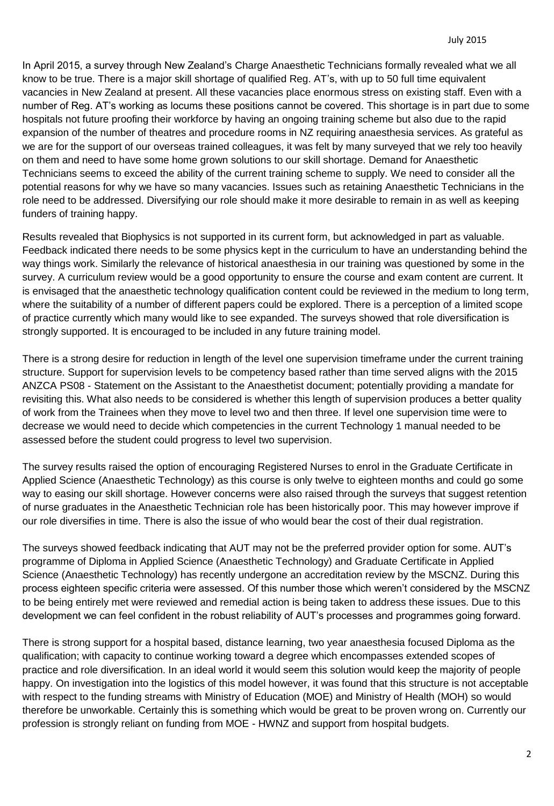In April 2015, a survey through New Zealand's Charge Anaesthetic Technicians formally revealed what we all know to be true. There is a major skill shortage of qualified Reg. AT's, with up to 50 full time equivalent vacancies in New Zealand at present. All these vacancies place enormous stress on existing staff. Even with a number of Reg. AT's working as locums these positions cannot be covered. This shortage is in part due to some hospitals not future proofing their workforce by having an ongoing training scheme but also due to the rapid expansion of the number of theatres and procedure rooms in NZ requiring anaesthesia services. As grateful as we are for the support of our overseas trained colleagues, it was felt by many surveyed that we rely too heavily on them and need to have some home grown solutions to our skill shortage. Demand for Anaesthetic Technicians seems to exceed the ability of the current training scheme to supply. We need to consider all the potential reasons for why we have so many vacancies. Issues such as retaining Anaesthetic Technicians in the role need to be addressed. Diversifying our role should make it more desirable to remain in as well as keeping funders of training happy.

Results revealed that Biophysics is not supported in its current form, but acknowledged in part as valuable. Feedback indicated there needs to be some physics kept in the curriculum to have an understanding behind the way things work. Similarly the relevance of historical anaesthesia in our training was questioned by some in the survey. A curriculum review would be a good opportunity to ensure the course and exam content are current. It is envisaged that the anaesthetic technology qualification content could be reviewed in the medium to long term, where the suitability of a number of different papers could be explored. There is a perception of a limited scope of practice currently which many would like to see expanded. The surveys showed that role diversification is strongly supported. It is encouraged to be included in any future training model.

There is a strong desire for reduction in length of the level one supervision timeframe under the current training structure. Support for supervision levels to be competency based rather than time served aligns with the 2015 ANZCA PS08 - Statement on the Assistant to the Anaesthetist document; potentially providing a mandate for revisiting this. What also needs to be considered is whether this length of supervision produces a better quality of work from the Trainees when they move to level two and then three. If level one supervision time were to decrease we would need to decide which competencies in the current Technology 1 manual needed to be assessed before the student could progress to level two supervision.

The survey results raised the option of encouraging Registered Nurses to enrol in the Graduate Certificate in Applied Science (Anaesthetic Technology) as this course is only twelve to eighteen months and could go some way to easing our skill shortage. However concerns were also raised through the surveys that suggest retention of nurse graduates in the Anaesthetic Technician role has been historically poor. This may however improve if our role diversifies in time. There is also the issue of who would bear the cost of their dual registration.

The surveys showed feedback indicating that AUT may not be the preferred provider option for some. AUT's programme of Diploma in Applied Science (Anaesthetic Technology) and Graduate Certificate in Applied Science (Anaesthetic Technology) has recently undergone an accreditation review by the MSCNZ. During this process eighteen specific criteria were assessed. Of this number those which weren't considered by the MSCNZ to be being entirely met were reviewed and remedial action is being taken to address these issues. Due to this development we can feel confident in the robust reliability of AUT's processes and programmes going forward.

There is strong support for a hospital based, distance learning, two year anaesthesia focused Diploma as the qualification; with capacity to continue working toward a degree which encompasses extended scopes of practice and role diversification. In an ideal world it would seem this solution would keep the majority of people happy. On investigation into the logistics of this model however, it was found that this structure is not acceptable with respect to the funding streams with Ministry of Education (MOE) and Ministry of Health (MOH) so would therefore be unworkable. Certainly this is something which would be great to be proven wrong on. Currently our profession is strongly reliant on funding from MOE - HWNZ and support from hospital budgets.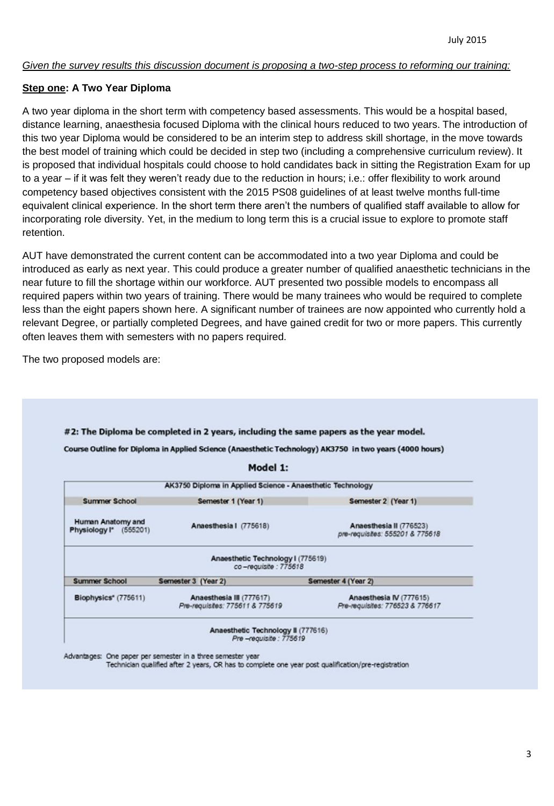#### *Given the survey results this discussion document is proposing a two-step process to reforming our training:*

### **Step one: A Two Year Diploma**

A two year diploma in the short term with competency based assessments. This would be a hospital based, distance learning, anaesthesia focused Diploma with the clinical hours reduced to two years. The introduction of this two year Diploma would be considered to be an interim step to address skill shortage, in the move towards the best model of training which could be decided in step two (including a comprehensive curriculum review). It is proposed that individual hospitals could choose to hold candidates back in sitting the Registration Exam for up to a year – if it was felt they weren't ready due to the reduction in hours; i.e.: offer flexibility to work around competency based objectives consistent with the 2015 PS08 guidelines of at least twelve months full-time equivalent clinical experience. In the short term there aren't the numbers of qualified staff available to allow for incorporating role diversity. Yet, in the medium to long term this is a crucial issue to explore to promote staff retention.

AUT have demonstrated the current content can be accommodated into a two year Diploma and could be introduced as early as next year. This could produce a greater number of qualified anaesthetic technicians in the near future to fill the shortage within our workforce. AUT presented two possible models to encompass all required papers within two years of training. There would be many trainees who would be required to complete less than the eight papers shown here. A significant number of trainees are now appointed who currently hold a relevant Degree, or partially completed Degrees, and have gained credit for two or more papers. This currently often leaves them with semesters with no papers required.

The two proposed models are:

|                                             | Model 1:                                                    |                                                            |
|---------------------------------------------|-------------------------------------------------------------|------------------------------------------------------------|
|                                             | AK3750 Diploma in Applied Science - Anaesthetic Technology  |                                                            |
| <b>Summer School</b>                        | Semester 1 (Year 1)                                         | Semester 2 (Year 1)                                        |
| Human Anatomy and<br>Physiology I* (555201) | Anaesthesia   (775618)                                      | Anaesthesia II (776523)<br>pre-requisites: 555201 & 775618 |
|                                             | Anaesthetic Technology I (775619)<br>co-regulsite : 775618  |                                                            |
| <b>Summer School</b>                        | Semester 3 (Year 2)                                         | Semester 4 (Year 2)                                        |
| Biophysics" (775611)                        | Anaesthesia III (777617)<br>Pre-requisites: 775611 & 775619 | Anaesthesia IV (777615)<br>Pre-requisites: 776523 & 776617 |

Technician qualified after 2 years, OR has to complete one year post qualification/pre-registration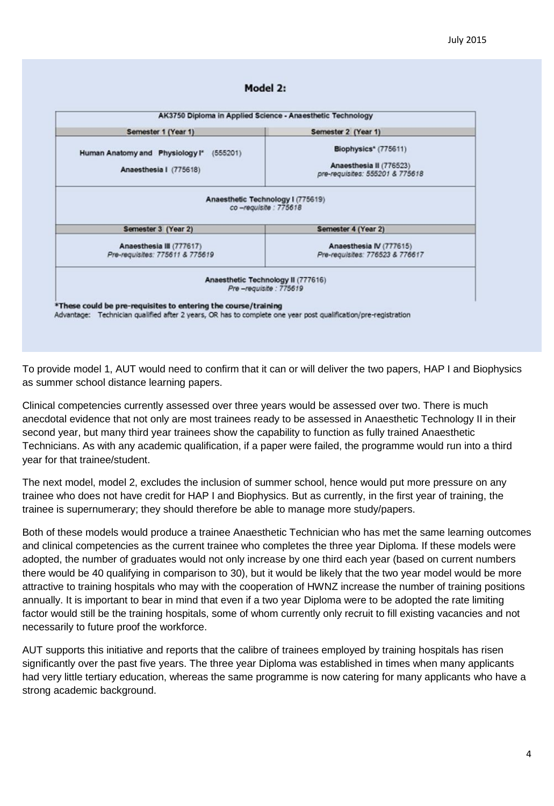#### Model 2:

| Semester 1 (Year 1)                                        | Semester 2 (Year 1)                                        |
|------------------------------------------------------------|------------------------------------------------------------|
| Human Anatomy and Physiology I*<br>(555201)                | Biophysics* (775611)                                       |
|                                                            |                                                            |
| Anaesthesia   (775618)                                     | Anaesthesia II (776523)<br>pre-requisites: 555201 & 775618 |
|                                                            |                                                            |
| Anaesthetic Technology I (775619)<br>co-requisite : 775618 |                                                            |
|                                                            |                                                            |
|                                                            |                                                            |
| Semester 3 (Year 2)                                        | Semester 4 (Year 2)                                        |
| Anaesthesia III (777617)                                   | Anaesthesia IV (777615)                                    |
| Pre-requisites: 775611 & 775619                            | Pre-requisites: 776523 & 776617                            |
| Anaesthetic Technology II (777616)                         |                                                            |
| Pre-requisite: 775619                                      |                                                            |
|                                                            |                                                            |

To provide model 1, AUT would need to confirm that it can or will deliver the two papers, HAP I and Biophysics as summer school distance learning papers.

Clinical competencies currently assessed over three years would be assessed over two. There is much anecdotal evidence that not only are most trainees ready to be assessed in Anaesthetic Technology II in their second year, but many third year trainees show the capability to function as fully trained Anaesthetic Technicians. As with any academic qualification, if a paper were failed, the programme would run into a third year for that trainee/student.

The next model, model 2, excludes the inclusion of summer school, hence would put more pressure on any trainee who does not have credit for HAP I and Biophysics. But as currently, in the first year of training, the trainee is supernumerary; they should therefore be able to manage more study/papers.

Both of these models would produce a trainee Anaesthetic Technician who has met the same learning outcomes and clinical competencies as the current trainee who completes the three year Diploma. If these models were adopted, the number of graduates would not only increase by one third each year (based on current numbers there would be 40 qualifying in comparison to 30), but it would be likely that the two year model would be more attractive to training hospitals who may with the cooperation of HWNZ increase the number of training positions annually. It is important to bear in mind that even if a two year Diploma were to be adopted the rate limiting factor would still be the training hospitals, some of whom currently only recruit to fill existing vacancies and not necessarily to future proof the workforce.

AUT supports this initiative and reports that the calibre of trainees employed by training hospitals has risen significantly over the past five years. The three year Diploma was established in times when many applicants had very little tertiary education, whereas the same programme is now catering for many applicants who have a strong academic background.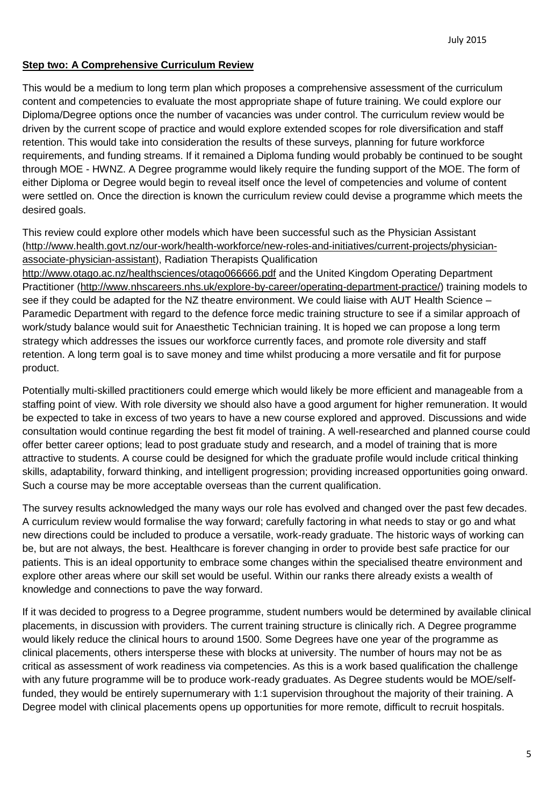## **Step two: A Comprehensive Curriculum Review**

This would be a medium to long term plan which proposes a comprehensive assessment of the curriculum content and competencies to evaluate the most appropriate shape of future training. We could explore our Diploma/Degree options once the number of vacancies was under control. The curriculum review would be driven by the current scope of practice and would explore extended scopes for role diversification and staff retention. This would take into consideration the results of these surveys, planning for future workforce requirements, and funding streams. If it remained a Diploma funding would probably be continued to be sought through MOE - HWNZ. A Degree programme would likely require the funding support of the MOE. The form of either Diploma or Degree would begin to reveal itself once the level of competencies and volume of content were settled on. Once the direction is known the curriculum review could devise a programme which meets the desired goals.

This review could explore other models which have been successful such as the Physician Assistant [\(http://www.health.govt.nz/our-work/health-workforce/new-roles-and-initiatives/current-projects/physician](http://www.health.govt.nz/our-work/health-workforce/new-roles-and-initiatives/current-projects/physician-associate-physician-assistant)[associate-physician-assistant\)](http://www.health.govt.nz/our-work/health-workforce/new-roles-and-initiatives/current-projects/physician-associate-physician-assistant), Radiation Therapists Qualification

<http://www.otago.ac.nz/healthsciences/otago066666.pdf> and the United Kingdom Operating Department Practitioner [\(http://www.nhscareers.nhs.uk/explore-by-career/operating-department-practice/\)](http://www.nhscareers.nhs.uk/explore-by-career/operating-department-practice/) training models to see if they could be adapted for the NZ theatre environment. We could liaise with AUT Health Science – Paramedic Department with regard to the defence force medic training structure to see if a similar approach of work/study balance would suit for Anaesthetic Technician training. It is hoped we can propose a long term strategy which addresses the issues our workforce currently faces, and promote role diversity and staff retention. A long term goal is to save money and time whilst producing a more versatile and fit for purpose product.

Potentially multi-skilled practitioners could emerge which would likely be more efficient and manageable from a staffing point of view. With role diversity we should also have a good argument for higher remuneration. It would be expected to take in excess of two years to have a new course explored and approved. Discussions and wide consultation would continue regarding the best fit model of training. A well-researched and planned course could offer better career options; lead to post graduate study and research, and a model of training that is more attractive to students. A course could be designed for which the graduate profile would include critical thinking skills, adaptability, forward thinking, and intelligent progression; providing increased opportunities going onward. Such a course may be more acceptable overseas than the current qualification.

The survey results acknowledged the many ways our role has evolved and changed over the past few decades. A curriculum review would formalise the way forward; carefully factoring in what needs to stay or go and what new directions could be included to produce a versatile, work-ready graduate. The historic ways of working can be, but are not always, the best. Healthcare is forever changing in order to provide best safe practice for our patients. This is an ideal opportunity to embrace some changes within the specialised theatre environment and explore other areas where our skill set would be useful. Within our ranks there already exists a wealth of knowledge and connections to pave the way forward.

If it was decided to progress to a Degree programme, student numbers would be determined by available clinical placements, in discussion with providers. The current training structure is clinically rich. A Degree programme would likely reduce the clinical hours to around 1500. Some Degrees have one year of the programme as clinical placements, others intersperse these with blocks at university. The number of hours may not be as critical as assessment of work readiness via competencies. As this is a work based qualification the challenge with any future programme will be to produce work-ready graduates. As Degree students would be MOE/selffunded, they would be entirely supernumerary with 1:1 supervision throughout the majority of their training. A Degree model with clinical placements opens up opportunities for more remote, difficult to recruit hospitals.